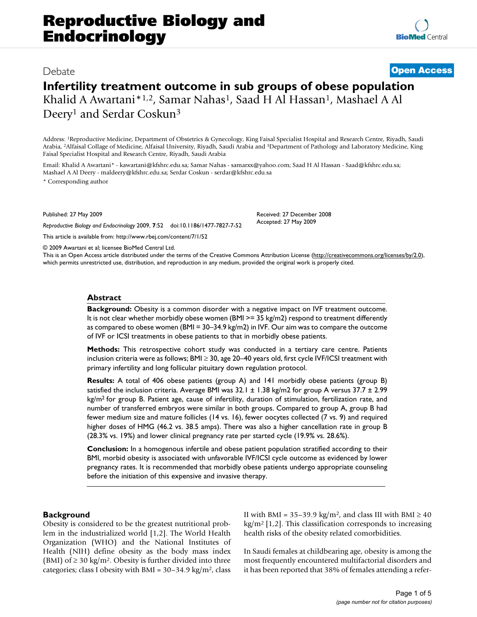**[BioMed](http://www.biomedcentral.com/)** Central

# **Infertility treatment outcome in sub groups of obese population** Khalid A Awartani\*<sup>1,2</sup>, Samar Nahas<sup>1</sup>, Saad H Al Hassan<sup>1</sup>, Mashael A Al Deery<sup>1</sup> and Serdar Coskun<sup>3</sup>

Address: 1Reproductive Medicine, Department of Obstetrics & Gynecology, King Faisal Specialist Hospital and Research Centre, Riyadh, Saudi Arabia, 2Alfaisal Collage of Medicine, Alfaisal University, Riyadh, Saudi Arabia and 3Department of Pathology and Laboratory Medicine, King Faisal Specialist Hospital and Research Centre, Riyadh, Saudi Arabia

Email: Khalid A Awartani\* - kawartani@kfshrc.edu.sa; Samar Nahas - samarxx@yahoo.com; Saad H Al Hassan - Saad@kfshrc.edu.sa; Mashael A Al Deery - maldeery@kfshrc.edu.sa; Serdar Coskun - serdar@kfshrc.edu.sa

\* Corresponding author

Published: 27 May 2009

*Reproductive Biology and Endocrinology* 2009, **7**:52 doi:10.1186/1477-7827-7-52 [This article is available from: http://www.rbej.com/content/7/1/52](http://www.rbej.com/content/7/1/52)

© 2009 Awartani et al; licensee BioMed Central Ltd.

Accepted: 27 May 2009

Received: 27 December 2008

This is an Open Access article distributed under the terms of the Creative Commons Attribution License [\(http://creativecommons.org/licenses/by/2.0\)](http://creativecommons.org/licenses/by/2.0), which permits unrestricted use, distribution, and reproduction in any medium, provided the original work is properly cited.

### **Abstract**

**Background:** Obesity is a common disorder with a negative impact on IVF treatment outcome. It is not clear whether morbidly obese women (BMI  $\ge$  35 kg/m2) respond to treatment differently as compared to obese women (BMI =  $30-34.9$  kg/m2) in IVF. Our aim was to compare the outcome of IVF or ICSI treatments in obese patients to that in morbidly obese patients.

**Methods:** This retrospective cohort study was conducted in a tertiary care centre. Patients inclusion criteria were as follows; BMI ≥ 30, age 20–40 years old, first cycle IVF/ICSI treatment with primary infertility and long follicular pituitary down regulation protocol.

**Results:** A total of 406 obese patients (group A) and 141 morbidly obese patients (group B) satisfied the inclusion criteria. Average BMI was  $32.1 \pm 1.38$  kg/m2 for group A versus  $37.7 \pm 2.99$ kg/m<sup>2</sup> for group B. Patient age, cause of infertility, duration of stimulation, fertilization rate, and number of transferred embryos were similar in both groups. Compared to group A, group B had fewer medium size and mature follicles (14 vs. 16), fewer oocytes collected (7 vs. 9) and required higher doses of HMG (46.2 vs. 38.5 amps). There was also a higher cancellation rate in group B (28.3% vs. 19%) and lower clinical pregnancy rate per started cycle (19.9% vs. 28.6%).

**Conclusion:** In a homogenous infertile and obese patient population stratified according to their BMI, morbid obesity is associated with unfavorable IVF/ICSI cycle outcome as evidenced by lower pregnancy rates. It is recommended that morbidly obese patients undergo appropriate counseling before the initiation of this expensive and invasive therapy.

#### **Background**

Obesity is considered to be the greatest nutritional problem in the industrialized world [\[1](#page-3-0),[2](#page-3-1)]. The World Health Organization (WHO) and the National Institutes of Health (NIH) define obesity as the body mass index (BMI) of  $\geq$  30 kg/m<sup>2</sup>. Obesity is further divided into three categories; class I obesity with BMI =  $30-34.9$  kg/m<sup>2</sup>, class II with BMI = 35–39.9 kg/m<sup>2</sup>, and class III with BMI  $\geq$  40  $kg/m<sup>2</sup>$  [[1](#page-3-0)[,2\]](#page-3-1). This classification corresponds to increasing health risks of the obesity related comorbidities.

In Saudi females at childbearing age, obesity is among the most frequently encountered multifactorial disorders and it has been reported that 38% of females attending a refer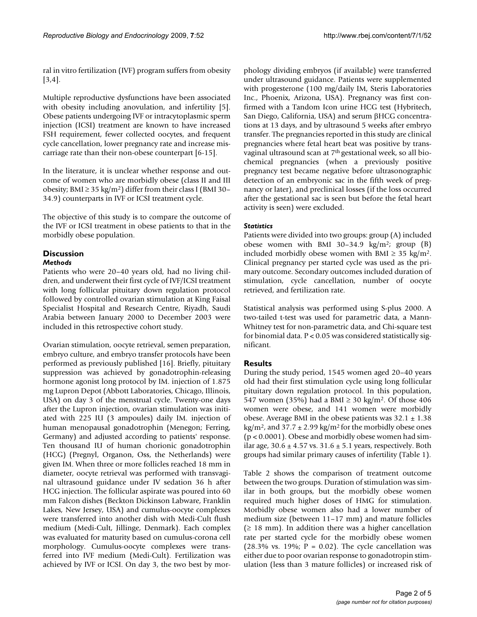ral in vitro fertilization (IVF) program suffers from obesity [[3](#page-3-2)[,4\]](#page-3-3).

Multiple reproductive dysfunctions have been associated with obesity including anovulation, and infertility [[5](#page-3-4)]. Obese patients undergoing IVF or intracytoplasmic sperm injection (ICSI) treatment are known to have increased FSH requirement, fewer collected oocytes, and frequent cycle cancellation, lower pregnancy rate and increase miscarriage rate than their non-obese counterpart [[6](#page-3-5)[-15](#page-3-6)].

In the literature, it is unclear whether response and outcome of women who are morbidly obese (class II and III obesity; BMI  $\geq$  35 kg/m<sup>2</sup>) differ from their class I (BMI 30– 34.9) counterparts in IVF or ICSI treatment cycle.

The objective of this study is to compare the outcome of the IVF or ICSI treatment in obese patients to that in the morbidly obese population.

# **Discussion**

# *Methods*

Patients who were 20–40 years old, had no living children, and underwent their first cycle of IVF/ICSI treatment with long follicular pituitary down regulation protocol followed by controlled ovarian stimulation at King Faisal Specialist Hospital and Research Centre, Riyadh, Saudi Arabia between January 2000 to December 2003 were included in this retrospective cohort study.

Ovarian stimulation, oocyte retrieval, semen preparation, embryo culture, and embryo transfer protocols have been performed as previously published [\[16](#page-3-7)]. Briefly, pituitary suppression was achieved by gonadotrophin-releasing hormone agonist long protocol by IM. injection of 1.875 mg Lupron Depot (Abbott Laboratories, Chicago, Illinois, USA) on day 3 of the menstrual cycle. Twenty-one days after the Lupron injection, ovarian stimulation was initiated with 225 IU (3 ampoules) daily IM. injection of human menopausal gonadotrophin (Menegon; Ferring, Germany) and adjusted according to patients' response. Ten thousand IU of human chorionic gonadotrophin (HCG) (Pregnyl, Organon, Oss, the Netherlands) were given IM. When three or more follicles reached 18 mm in diameter, oocyte retrieval was performed with transvaginal ultrasound guidance under IV sedation 36 h after HCG injection. The follicular aspirate was poured into 60 mm Falcon dishes (Beckton Dickinson Labware, Franklin Lakes, New Jersey, USA) and cumulus-oocyte complexes were transferred into another dish with Medi-Cult flush medium (Medi-Cult, Jillinge, Denmark). Each complex was evaluated for maturity based on cumulus-corona cell morphology. Cumulus-oocyte complexes were transferred into IVF medium (Medi-Cult). Fertilization was achieved by IVF or ICSI. On day 3, the two best by morphology dividing embryos (if available) were transferred under ultrasound guidance. Patients were supplemented with progesterone (100 mg/daily IM, Steris Laboratories Inc., Phoenix, Arizona, USA). Pregnancy was first confirmed with a Tandom Icon urine HCG test (Hybritech, San Diego, California, USA) and serum βHCG concentrations at 13 days, and by ultrasound 5 weeks after embryo transfer. The pregnancies reported in this study are clinical pregnancies where fetal heart beat was positive by transvaginal ultrasound scan at 7th gestational week, so all biochemical pregnancies (when a previously positive pregnancy test became negative before ultrasonographic detection of an embryonic sac in the fifth week of pregnancy or later), and preclinical losses (if the loss occurred after the gestational sac is seen but before the fetal heart activity is seen) were excluded.

# *Statistics*

Patients were divided into two groups: group (A) included obese women with BMI 30–34.9 kg/m<sup>2</sup>; group  $(B)$ included morbidly obese women with BMI  $\geq$  35 kg/m<sup>2</sup>. Clinical pregnancy per started cycle was used as the primary outcome. Secondary outcomes included duration of stimulation, cycle cancellation, number of oocyte retrieved, and fertilization rate.

Statistical analysis was performed using S-plus 2000. A two-tailed t-test was used for parametric data, a Mann-Whitney test for non-parametric data, and Chi-square test for binomial data. P < 0.05 was considered statistically significant.

# **Results**

During the study period, 1545 women aged 20–40 years old had their first stimulation cycle using long follicular pituitary down regulation protocol. In this population, 547 women (35%) had a BMI ≥ 30 kg/m<sup>2</sup>. Of those 406 women were obese, and 141 women were morbidly obese. Average BMI in the obese patients was  $32.1 \pm 1.38$  $kg/m<sup>2</sup>$ , and 37.7  $\pm$  2.99 kg/m<sup>2</sup> for the morbidly obese ones  $(p < 0.0001)$ . Obese and morbidly obese women had similar age,  $30.6 \pm 4.57$  vs.  $31.6 \pm 5.1$  years, respectively. Both groups had similar primary causes of infertility (Table [1](#page-2-0)).

Table [2](#page-2-1) shows the comparison of treatment outcome between the two groups. Duration of stimulation was similar in both groups, but the morbidly obese women required much higher doses of HMG for stimulation. Morbidly obese women also had a lower number of medium size (between 11–17 mm) and mature follicles  $(\geq 18$  mm). In addition there was a higher cancellation rate per started cycle for the morbidly obese women (28.3% vs. 19%;  $P = 0.02$ ). The cycle cancellation was either due to poor ovarian response to gonadotropin stimulation (less than 3 mature follicles) or increased risk of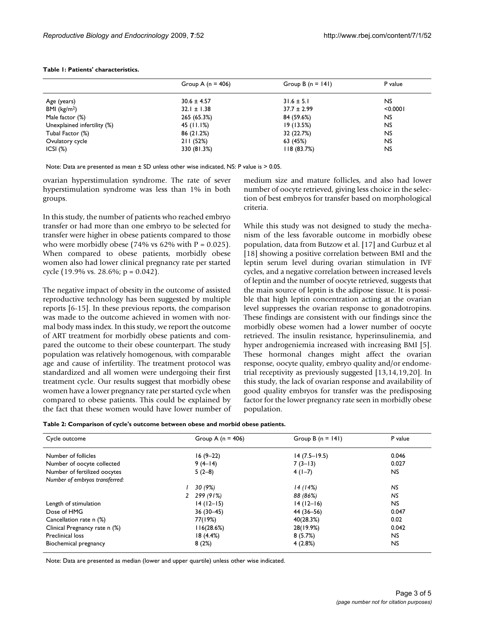|                             | Group A ( $n = 406$ ) | Group B $(n = 141)$ | P value   |
|-----------------------------|-----------------------|---------------------|-----------|
| Age (years)                 | $30.6 \pm 4.57$       | $31.6 \pm 5.1$      | NS.       |
| BMI (kg/m <sup>2</sup> )    | $32.1 \pm 1.38$       | $37.7 \pm 2.99$     | < 0.0001  |
| Male factor (%)             | 265 (65.3%)           | 84 (59.6%)          | <b>NS</b> |
| Unexplained infertility (%) | 45 (11.1%)            | 19(13.5%)           | <b>NS</b> |
| Tubal Factor (%)            | 86 (21.2%)            | 32 (22.7%)          | <b>NS</b> |
| Ovulatory cycle             | 211(52%)              | 63 (45%)            | <b>NS</b> |
| $ICSI (\%)$                 | 330 (81.3%)           | 118(83.7%)          | <b>NS</b> |

#### <span id="page-2-0"></span>**Table 1: Patients' characteristics.**

Note: Data are presented as mean ± SD unless other wise indicated, NS: P value is > 0.05.

ovarian hyperstimulation syndrome. The rate of sever hyperstimulation syndrome was less than 1% in both groups.

In this study, the number of patients who reached embryo transfer or had more than one embryo to be selected for transfer were higher in obese patients compared to those who were morbidly obese (74% vs 62% with  $P = 0.025$ ). When compared to obese patients, morbidly obese women also had lower clinical pregnancy rate per started cycle (19.9% vs. 28.6%; p = 0.042).

The negative impact of obesity in the outcome of assisted reproductive technology has been suggested by multiple reports [[6](#page-3-5)[-15](#page-3-6)]. In these previous reports, the comparison was made to the outcome achieved in women with normal body mass index. In this study, we report the outcome of ART treatment for morbidly obese patients and compared the outcome to their obese counterpart. The study population was relatively homogenous, with comparable age and cause of infertility. The treatment protocol was standardized and all women were undergoing their first treatment cycle. Our results suggest that morbidly obese women have a lower pregnancy rate per started cycle when compared to obese patients. This could be explained by the fact that these women would have lower number of medium size and mature follicles, and also had lower number of oocyte retrieved, giving less choice in the selection of best embryos for transfer based on morphological criteria.

While this study was not designed to study the mechanism of the less favorable outcome in morbidly obese population, data from Butzow et al. [[17\]](#page-3-8) and Gurbuz et al [[18](#page-3-9)] showing a positive correlation between BMI and the leptin serum level during ovarian stimulation in IVF cycles, and a negative correlation between increased levels of leptin and the number of oocyte retrieved, suggests that the main source of leptin is the adipose tissue. It is possible that high leptin concentration acting at the ovarian level suppresses the ovarian response to gonadotropins. These findings are consistent with our findings since the morbidly obese women had a lower number of oocyte retrieved. The insulin resistance, hyperinsulinemia, and hyper androgeniemia increased with increasing BMI [[5](#page-3-4)]. These hormonal changes might affect the ovarian response, oocyte quality, embryo quality and/or endometrial receptivity as previously suggested [\[13](#page-3-10)[,14](#page-3-11),[19,](#page-3-12)[20\]](#page-3-13). In this study, the lack of ovarian response and availability of good quality embryos for transfer was the predisposing factor for the lower pregnancy rate seen in morbidly obese population.

<span id="page-2-1"></span>

|  | Table 2: Comparison of cycle's outcome between obese and morbid obese patients. |  |  |  |  |  |  |  |  |
|--|---------------------------------------------------------------------------------|--|--|--|--|--|--|--|--|
|--|---------------------------------------------------------------------------------|--|--|--|--|--|--|--|--|

| Cycle outcome                  | Group A ( $n = 406$ ) | Group B $(n = 141)$ | P value   |
|--------------------------------|-----------------------|---------------------|-----------|
| Number of follicles            | $16(9-22)$            | $14(7.5-19.5)$      | 0.046     |
| Number of oocyte collected     | $9(4-14)$             | $7(3-13)$           | 0.027     |
| Number of fertilized oocytes   | $5(2-8)$              | $4(1-7)$            | NS.       |
| Number of embryos transferred: |                       |                     |           |
|                                | 30 (9%)               | 14(14%)             | NS.       |
|                                | 2, 299 (91%)          | 88 (86%)            | <b>NS</b> |
| Length of stimulation          | $14(12-15)$           | $14(12-16)$         | NS.       |
| Dose of HMG                    | $36(30 - 45)$         | 44 (36-56)          | 0.047     |
| Cancellation rate n (%)        | 77(19%)               | 40(28.3%)           | 0.02      |
| Clinical Pregnancy rate n (%)  | 116(28.6%)            | 28(19.9%)           | 0.042     |
| Preclinical loss               | 18(4.4%)              | 8(5.7%)             | <b>NS</b> |
| Biochemical pregnancy          | 8(2%)                 | 4(2.8%)             | <b>NS</b> |

Note: Data are presented as median (lower and upper quartile) unless other wise indicated.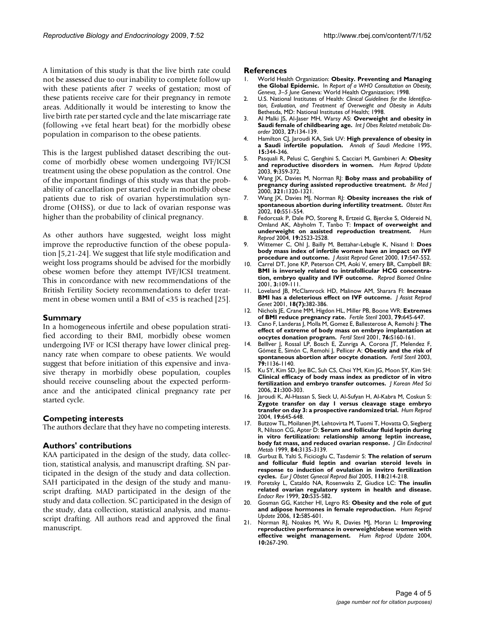A limitation of this study is that the live birth rate could not be assessed due to our inability to complete follow up with these patients after 7 weeks of gestation; most of these patients receive care for their pregnancy in remote areas. Additionally it would be interesting to know the live birth rate per started cycle and the late miscarriage rate (following +ve fetal heart beat) for the morbidly obese population in comparison to the obese patients.

This is the largest published dataset describing the outcome of morbidly obese women undergoing IVF/ICSI treatment using the obese population as the control. One of the important findings of this study was that the probability of cancellation per started cycle in morbidly obese patients due to risk of ovarian hyperstimulation syndrome (OHSS), or due to lack of ovarian response was higher than the probability of clinical pregnancy.

As other authors have suggested, weight loss might improve the reproductive function of the obese population [\[5,](#page-3-4)[21-](#page-3-14)[24\]](#page-4-0). We suggest that life style modification and weight loss programs should be advised for the morbidly obese women before they attempt IVF/ICSI treatment. This in concordance with new recommendations of the British Fertility Society recommendations to defer treatment in obese women until a BMI of <35 is reached [\[25](#page-4-1)].

## **Summary**

In a homogeneous infertile and obese population stratified according to their BMI, morbidly obese women undergoing IVF or ICSI therapy have lower clinical pregnancy rate when compare to obese patients. We would suggest that before initiation of this expensive and invasive therapy in morbidly obese population, couples should receive counseling about the expected performance and the anticipated clinical pregnancy rate per started cycle.

## **Competing interests**

The authors declare that they have no competing interests.

# **Authors' contributions**

KAA participated in the design of the study, data collection, statistical analysis, and manuscript drafting. SN participated in the design of the study and data collection. SAH participated in the design of the study and manuscript drafting. MAD participated in the design of the study and data collection. SC participated in the design of the study, data collection, statistical analysis, and manuscript drafting. All authors read and approved the final manuscript.

### **References**

- <span id="page-3-0"></span>1. World Health Organization: **Obesity. Preventing and Managing the Global Epidemic.** In *Report of a WHO Consultation on Obesity, Geneva, 3–5 June* Geneva: World Health Organization; 1998.
- <span id="page-3-1"></span>2. U.S. National Institutes of Health: *Clinical Guidelines for the Identification, Evaluation, and Treatment of Overweight and Obesity in Adults* Bethesda, MD: National Institutes of Health; 1998.
- <span id="page-3-2"></span>3. Al Malki JS, Al-Jaser MH, Warsy AS: **Overweight and obesity in Saudi female of childbearing age.** *Int J Obes Related metabolic Disorder* 2003, **27:**134-139.
- <span id="page-3-3"></span>4. Hamilton CJ, Jaroudi KA, Siek UV: **[High prevalence of obesity in](http://www.ncbi.nlm.nih.gov/entrez/query.fcgi?cmd=Retrieve&db=PubMed&dopt=Abstract&list_uids=17590603) [a Saudi infertile population.](http://www.ncbi.nlm.nih.gov/entrez/query.fcgi?cmd=Retrieve&db=PubMed&dopt=Abstract&list_uids=17590603)** *Annals of Saudi Medicine* 1995, **15:**344-346.
- <span id="page-3-4"></span>5. Pasquali R, Pelusi C, Genghini S, Cacciari M, Gambineri A: **[Obesity](http://www.ncbi.nlm.nih.gov/entrez/query.fcgi?cmd=Retrieve&db=PubMed&dopt=Abstract&list_uids=12926529) [and reproductive disorders in women.](http://www.ncbi.nlm.nih.gov/entrez/query.fcgi?cmd=Retrieve&db=PubMed&dopt=Abstract&list_uids=12926529)** *Hum Reprod Update* 2003, **9:**359-372.
- <span id="page-3-5"></span>6. Wang JX, Davies M, Norman RJ: **Boby mass and probability of pregnancy during assisted reproductive treatment.** *Br Med J* 2000, **321:**1320-1321.
- 7. Wang JX, Davies MJ, Norman RJ: **Obesity increases the risk of spontaneous abortion during infertility treatment.** *Obstet Res* 2002, **10:**551-554.
- 8. Fedorcsak P, Dale PO, Storeng R, Ertzeid G, Bjercke S, Oldereid N, Omland AK, Abyholm T, Tanbo T: **[Impact of overweight and](http://www.ncbi.nlm.nih.gov/entrez/query.fcgi?cmd=Retrieve&db=PubMed&dopt=Abstract&list_uids=15319380) [underweight on assisted reproduction treatment.](http://www.ncbi.nlm.nih.gov/entrez/query.fcgi?cmd=Retrieve&db=PubMed&dopt=Abstract&list_uids=15319380)** *Hum Reprod* 2004, **19:**2523-2528.
- 9. Wittemer C, Ohl J, Bailly M, Bettahar-Lebugle K, Nisand I: **[Does](http://www.ncbi.nlm.nih.gov/entrez/query.fcgi?cmd=Retrieve&db=PubMed&dopt=Abstract&list_uids=11209534) [body mass index of infertile women have an impact on IVF](http://www.ncbi.nlm.nih.gov/entrez/query.fcgi?cmd=Retrieve&db=PubMed&dopt=Abstract&list_uids=11209534) [procedure and outcome.](http://www.ncbi.nlm.nih.gov/entrez/query.fcgi?cmd=Retrieve&db=PubMed&dopt=Abstract&list_uids=11209534)** *J Assist Reprod Genet* 2000, **17:**547-552.
- 10. Carrel DT, Jone KP, Peterson CM, Aoki V, emery BR, Campbell BR: **[BMI is inversely related to intrafollicular HCG concentra](http://www.ncbi.nlm.nih.gov/entrez/query.fcgi?cmd=Retrieve&db=PubMed&dopt=Abstract&list_uids=12513872)[tion, embryo quality and IVF outcome.](http://www.ncbi.nlm.nih.gov/entrez/query.fcgi?cmd=Retrieve&db=PubMed&dopt=Abstract&list_uids=12513872)** *Reprod Biomed Online* 2001, **3:**109-111.
- 11. Loveland JB, McClamrock HD, Malinow AM, Sharara FI: **[Increase](http://www.ncbi.nlm.nih.gov/entrez/query.fcgi?cmd=Retrieve&db=PubMed&dopt=Abstract&list_uids=11499322) [BMI has a deleterious effect on IVF outcome.](http://www.ncbi.nlm.nih.gov/entrez/query.fcgi?cmd=Retrieve&db=PubMed&dopt=Abstract&list_uids=11499322)** *J Assist Reprod Genet* 2001, **18(7):**382-386.
- 12. Nichols JE, Crane MM, Higdon HL, Miller PB, Boone WR: **Extremes of BMI reduce pregnancy rate.** *Fertile Steril* 2003, **79:**645-647.
- <span id="page-3-10"></span>13. Cano F, Landeras J, Molla M, Gomez E, Ballesterose A, Remohi J: **The effect of extreme of body mass on embryo implantation at oocytes donation program.** *Fertil Steril* 2001, **76:**S160-161.
- <span id="page-3-11"></span>14. Belllver J, Rossal LP, Bosch E, Zunriga A, Corona JT, Melendez F, Gómez E, Simón C, Remohí J, Pellicer A: **[Obestiy and the risk of](http://www.ncbi.nlm.nih.gov/entrez/query.fcgi?cmd=Retrieve&db=PubMed&dopt=Abstract&list_uids=12738508) [spontaneous abortion after oocyte donation.](http://www.ncbi.nlm.nih.gov/entrez/query.fcgi?cmd=Retrieve&db=PubMed&dopt=Abstract&list_uids=12738508)** *Fertil Steril* 2003, **79:**1136-1140.
- <span id="page-3-6"></span>15. Ku SY, Kim SD, Jee BC, Suh CS, Choi YM, Kim JG, Moon SY, Kim SH: **[Clinical efficacy of body mass index as predictor of in vitro](http://www.ncbi.nlm.nih.gov/entrez/query.fcgi?cmd=Retrieve&db=PubMed&dopt=Abstract&list_uids=16614518) [fertilization and embryo transfer outcomes.](http://www.ncbi.nlm.nih.gov/entrez/query.fcgi?cmd=Retrieve&db=PubMed&dopt=Abstract&list_uids=16614518)** *J Korean Med Sci* 2006, **21:**300-303.
- <span id="page-3-7"></span>16. Jaroudi K, Al-Hassan S, Sieck U, Al-Sufyan H, Al-Kabra M, Coskun S: **[Zygote transfer on day 1 versus cleavage stage embryo](http://www.ncbi.nlm.nih.gov/entrez/query.fcgi?cmd=Retrieve&db=PubMed&dopt=Abstract&list_uids=14998964) [transfer on day 3: a prospective randomized trial.](http://www.ncbi.nlm.nih.gov/entrez/query.fcgi?cmd=Retrieve&db=PubMed&dopt=Abstract&list_uids=14998964)** *Hum Reprod* 2004, **19:**645-648.
- <span id="page-3-8"></span>17. Butzow TL, Moilanen JM, Lehtovirta M, Tuomi T, Hovatta O, Siegberg R, Nilsson CG, Apter D: **[Serum and follicular fluid leptin during](http://www.ncbi.nlm.nih.gov/entrez/query.fcgi?cmd=Retrieve&db=PubMed&dopt=Abstract&list_uids=10487676) [in vitro fertilization: relationship among leptin increase,](http://www.ncbi.nlm.nih.gov/entrez/query.fcgi?cmd=Retrieve&db=PubMed&dopt=Abstract&list_uids=10487676) [body fat mass, and reduced ovarian response.](http://www.ncbi.nlm.nih.gov/entrez/query.fcgi?cmd=Retrieve&db=PubMed&dopt=Abstract&list_uids=10487676)** *J Clin Endocrinol Metab* 1999, **84:**3135-3139.
- <span id="page-3-9"></span>18. Gurbuz B, Yalti S, Ficicioglu C, Tasdemir S: **[The relation of serum](http://www.ncbi.nlm.nih.gov/entrez/query.fcgi?cmd=Retrieve&db=PubMed&dopt=Abstract&list_uids=15653206) [and follicular fluid leptin and ovarian steroid levels in](http://www.ncbi.nlm.nih.gov/entrez/query.fcgi?cmd=Retrieve&db=PubMed&dopt=Abstract&list_uids=15653206) response to induction of ovulation in invitro fertilization [cycles.](http://www.ncbi.nlm.nih.gov/entrez/query.fcgi?cmd=Retrieve&db=PubMed&dopt=Abstract&list_uids=15653206)** *Eur J Obstet Gynecol Reprod Biol* 2005, **118:**214-218.
- <span id="page-3-12"></span>19. Poretsky L, Cataldo NA, Rosenwaks Z, Giudice LC: **[The insulin](http://www.ncbi.nlm.nih.gov/entrez/query.fcgi?cmd=Retrieve&db=PubMed&dopt=Abstract&list_uids=10453357) [related ovarian regulatory system in health and disease.](http://www.ncbi.nlm.nih.gov/entrez/query.fcgi?cmd=Retrieve&db=PubMed&dopt=Abstract&list_uids=10453357)** *Endocr Rev* 1999, **20:**535-582.
- <span id="page-3-13"></span>20. Gosman GG, Katcher HI, Legro RS: **[Obesity and the role of gut](http://www.ncbi.nlm.nih.gov/entrez/query.fcgi?cmd=Retrieve&db=PubMed&dopt=Abstract&list_uids=16775192) [and adipose hormones in female reproduction.](http://www.ncbi.nlm.nih.gov/entrez/query.fcgi?cmd=Retrieve&db=PubMed&dopt=Abstract&list_uids=16775192)** *Hum Reprod Update* 2006, **12:**585-601.
- <span id="page-3-14"></span>21. Norman RJ, Noakes M, Wu R, Davies MJ, Moran L: **[Improving](http://www.ncbi.nlm.nih.gov/entrez/query.fcgi?cmd=Retrieve&db=PubMed&dopt=Abstract&list_uids=15140873) [reproductive performance in overweight/obese women with](http://www.ncbi.nlm.nih.gov/entrez/query.fcgi?cmd=Retrieve&db=PubMed&dopt=Abstract&list_uids=15140873) [effective weight management.](http://www.ncbi.nlm.nih.gov/entrez/query.fcgi?cmd=Retrieve&db=PubMed&dopt=Abstract&list_uids=15140873)** *Hum Reprod Update* 2004, **10:**267-290.